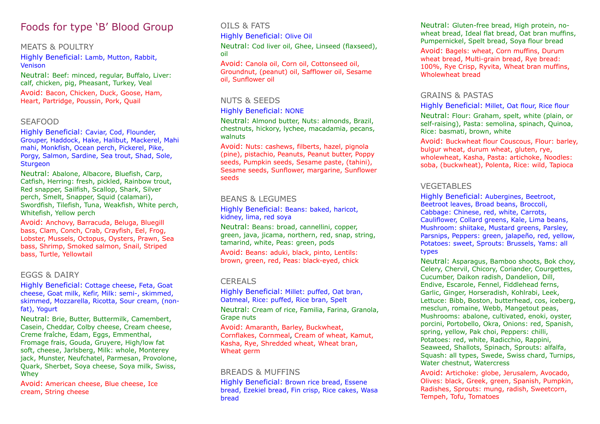## Foods for type 'B' Blood Group

#### MEATS & POULTRY

Highly Beneficial: Lamb, Mutton, Rabbit, Venison

Neutral: Beef: minced, regular, Buffalo, Liver: calf, chicken, pig, Pheasant, Turkey, Veal

Avoid: Bacon, Chicken, Duck, Goose, Ham, Heart, Partridge, Poussin, Pork, Quail

#### SEAFOOD

Highly Beneficial: Caviar, Cod, Flounder, Grouper, Haddock, Hake, Halibut, Mackerel, Mahi mahi, Monkfish, Ocean perch, Pickerel, Pike, Porgy, Salmon, Sardine, Sea trout, Shad, Sole, Sturgeon

Neutral: Abalone, Albacore, Bluefish, Carp, Catfish, Herring: fresh, pickled, Rainbow trout, Red snapper, Sailfish, Scallop, Shark, Silver perch, Smelt, Snapper, Squid (calamari), Swordfish, Tilefish, Tuna, Weakfish, White perch, Whitefish, Yellow perch

Avoid: Anchovy, Barracuda, Beluga, Bluegill bass, Clam, Conch, Crab, Crayfish, Eel, Frog, Lobster, Mussels, Octopus, Oysters, Prawn, Sea bass, Shrimp, Smoked salmon, Snail, Striped bass, Turtle, Yellowtail

#### EGGS & DAIRY

Highly Beneficial: Cottage cheese, Feta, Goat cheese, Goat milk, Kefir, Milk: semi-, skimmed, skimmed, Mozzarella, Ricotta, Sour cream, (nonfat), Yogurt

Neutral: Brie, Butter, Buttermilk, Camembert, Casein, Cheddar, Colby cheese, Cream cheese, Creme fraîche, Edam, Eggs, Emmenthal, Fromage frais, Gouda, Gruyere, High/low fat soft, cheese, Jarlsberg, Milk: whole, Monterey jack, Munster, Neufchatel, Parmesan, Provolone, Quark, Sherbet, Soya cheese, Soya milk, Swiss, Whey

Avoid: American cheese, Blue cheese, Ice cream, String cheese

#### OILS & FATS

Highly Beneficial: Olive Oil

Neutral: Cod liver oil, Ghee, Linseed (flaxseed), oil

Avoid: Canola oil, Corn oil, Cottonseed oil, Groundnut, (peanut) oil, Safflower oil, Sesame oil, Sunflower oil

#### NUTS & SEEDS

#### Highly Beneficial: NONE

Neutral: Almond butter, Nuts: almonds, Brazil, chestnuts, hickory, lychee, macadamia, pecans, walnuts

Avoid: Nuts: cashews, filberts, hazel, pignola (pine), pistachio, Peanuts, Peanut butter, Poppy seeds, Pumpkin seeds, Sesame paste, (tahini), Sesame seeds, Sunflower, margarine, Sunflower seeds

#### BEANS & LEGUMES

Highly Beneficial: Beans: baked, haricot, kidney, lima, red soya

Neutral: Beans: broad, cannellini, copper, green, java, jicama, northern, red, snap, string, tamarind, white, Peas: green, pods

Avoid: Beans: aduki, black, pinto, Lentils: brown, green, red, Peas: black-eyed, chick

#### CEREALS

Highly Beneficial: Millet: puffed, Oat bran, Oatmeal, Rice: puffed, Rice bran, Spelt Neutral: Cream of rice, Familia, Farina, Granola, Grape nuts

Avoid: Amaranth, Barley, Buckwheat, Cornflakes, Cornmeal, Cream of wheat, Kamut, Kasha, Rye, Shredded wheat, Wheat bran, Wheat germ

#### BREADS & MUFFINS

Highly Beneficial: Brown rice bread, Essene bread, Ezekiel bread, Fin crisp, Rice cakes, Wasa bread

Neutral: Gluten-free bread, High protein, nowheat bread, Ideal flat bread, Oat bran muffins, Pumpernickel, Spelt bread, Soya flour bread

Avoid: Bagels: wheat, Corn muffins, Durum wheat bread, Multi-grain bread, Rye bread: 100%, Rye Crisp, Ryvita, Wheat bran muffins, Wholewheat bread

#### GRAINS & PASTAS

#### Highly Beneficial: Millet, Oat flour, Rice flour

Neutral: Flour: Graham, spelt, white (plain, or self-raising), Pasta: semolina, spinach, Quinoa, Rice: basmati, brown, white

Avoid: Buckwheat flour Couscous, Flour: barley, bulgur wheat, durum wheat, gluten, rye, wholewheat, Kasha, Pasta: artichoke, Noodles: soba, (buckwheat), Polenta, Rice: wild, Tapioca

#### VEGETABLES

Highly Beneficial: Aubergines, Beetroot, Beetroot leaves, Broad beans, Broccoli, Cabbage: Chinese, red, white, Carrots, Cauliflower, Collard greens, Kale, Lima beans, Mushroom: shiitake, Mustard greens, Parsley, Parsnips, Peppers: green, jalapeño, red, yellow, Potatoes: sweet, Sprouts: Brussels, Yams: all types

Neutral: Asparagus, Bamboo shoots, Bok choy, Celery, Chervil, Chicory, Coriander, Courgettes, Cucumber, Daikon radish, Dandelion, Dill, Endive, Escarole, Fennel, Fiddlehead ferns, Garlic, Ginger, Horseradish, Kohlrabi, Leek, Lettuce: Bibb, Boston, butterhead, cos, iceberg, mesclun, romaine, Webb, Mangetout peas, Mushrooms: abalone, cultivated, enoki, oyster, porcini, Portobello, Okra, Onions: red, Spanish, spring, yellow, Pak choi, Peppers: chilli, Potatoes: red, white, Radicchio, Rappini, Seaweed, Shallots, Spinach, Sprouts: alfalfa, Squash: all types, Swede, Swiss chard, Turnips, Water chestnut, Watercress

Avoid: Artichoke: globe, Jerusalem, Avocado, Olives: black, Greek, green, Spanish, Pumpkin, Radishes, Sprouts: mung, radish, Sweetcorn, Tempeh, Tofu, Tomatoes